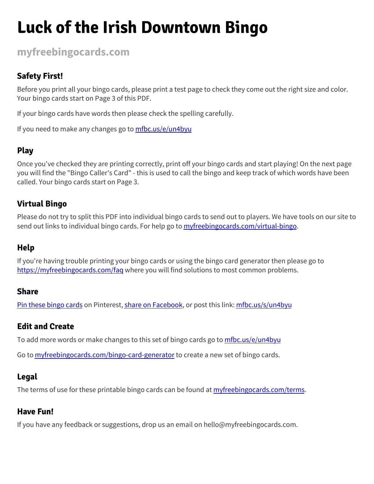### **Luck of the Irish Downtown Bingo**

#### **[myfreebingocards.com](https://myfreebingocards.com/)**

#### **Safety First!**

Before you print all your bingo cards, please print a test page to check they come out the right size and color. Your bingo cards start on Page 3 of this PDF.

If your bingo cards have words then please check the spelling carefully.

If you need to make any changes go to [mfbc.us/e/un4byu](https://mfbc.us/e/un4byu)

#### **Play**

Once you've checked they are printing correctly, print off your bingo cards and start playing! On the next page you will find the "Bingo Caller's Card" - this is used to call the bingo and keep track of which words have been called. Your bingo cards start on Page 3.

#### **Virtual Bingo**

Please do not try to split this PDF into individual bingo cards to send out to players. We have tools on our site to send out links to individual bingo cards. For help go to *[myfreebingocards.com/virtual-bingo](https://myfreebingocards.com/virtual-bingo).* 

#### **Help**

If you're having trouble printing your bingo cards or using the bingo card generator then please go to <https://myfreebingocards.com/faq> where you will find solutions to most common problems.

#### **Share**

Pin these [bingo](https://pinterest.com/pin/create/bookmarklet/?media=https%3A%2F%2Fmyfreebingocards.com%2Fp%2Fun4byu%2Fpin&url=https%3A%2F%2Fmfbc.us%2Fs%2Fun4byu&description=Luck+of+the+Irish+Downtown+Bingo) cards on Pinterest, share on [Facebook,](https://www.facebook.com/sharer/sharer.php?u=https%3A%2F%2Fmfbc.us%2Fs%2Fun4byu) or post this link: [mfbc.us/s/un4byu](https://mfbc.us/s/un4byu)

#### **Edit and Create**

To add more words or make changes to this set of bingo cards go to [mfbc.us/e/un4byu](https://mfbc.us/e/un4byu)

Go to **[myfreebingocards.com/bingo-card-generator](https://myfreebingocards.com/bingo-card-generator)** to create a new set of bingo cards.

#### **Legal**

The terms of use for these printable bingo cards can be found at *[myfreebingocards.com/terms.](https://myfreebingocards.com/terms)* 

#### **Have Fun!**

If you have any feedback or suggestions, drop us an email on hello@myfreebingocards.com.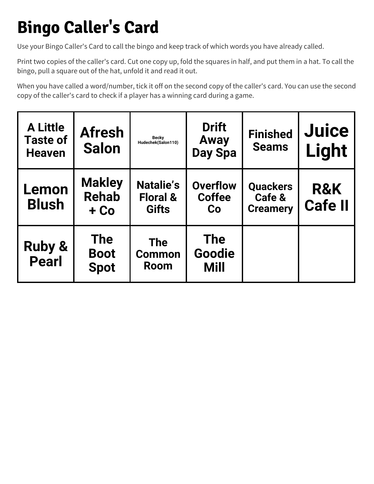### **Bingo Caller's Card**

Use your Bingo Caller's Card to call the bingo and keep track of which words you have already called.

Print two copies of the caller's card. Cut one copy up, fold the squares in half, and put them in a hat. To call the bingo, pull a square out of the hat, unfold it and read it out.

When you have called a word/number, tick it off on the second copy of the caller's card. You can use the second copy of the caller's card to check if a player has a winning card during a game.

| <b>A Little</b><br><b>Taste of</b><br><b>Heaven</b> | <b>Afresh</b><br><b>Salon</b>            | <b>Becky</b><br>Hudechek(Salon110)                      | <b>Drift</b><br>Away<br><b>Day Spa</b> | <b>Finished</b><br><b>Seams</b>              | <b>Juice</b><br>Light            |
|-----------------------------------------------------|------------------------------------------|---------------------------------------------------------|----------------------------------------|----------------------------------------------|----------------------------------|
| Lemon<br><b>Blush</b>                               | <b>Makley</b><br><b>Rehab</b><br>$+$ Co  | <b>Natalie's</b><br><b>Floral &amp;</b><br><b>Gifts</b> | <b>Overflow</b><br><b>Coffee</b><br>Co | <b>Quackers</b><br>Cafe &<br><b>Creamery</b> | <b>R&amp;K</b><br><b>Cafe II</b> |
| <b>Ruby &amp;</b><br><b>Pearl</b>                   | <b>The</b><br><b>Boot</b><br><b>Spot</b> | <b>The</b><br><b>Common</b><br><b>Room</b>              | <b>The</b><br>Goodie<br>Mill           |                                              |                                  |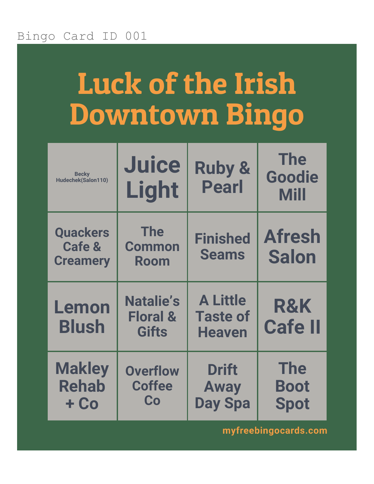# Luck of the Irish Downtown Bingo

| <b>Becky</b><br>Hudechek(Salon110)                      | <b>Juice</b><br>Light                                   | <b>Ruby &amp;</b><br><b>Pearl</b>                   | <b>The</b><br>Goodie<br><b>Mill</b>      |
|---------------------------------------------------------|---------------------------------------------------------|-----------------------------------------------------|------------------------------------------|
| <b>Quackers</b><br><b>Cafe &amp;</b><br><b>Creamery</b> | <b>The</b><br><b>Common</b><br><b>Room</b>              | <b>Finished</b><br><b>Seams</b>                     | <b>Afresh</b><br><b>Salon</b>            |
| Lemon<br><b>Blush</b>                                   | <b>Natalie's</b><br><b>Floral &amp;</b><br><b>Gifts</b> | <b>A Little</b><br><b>Taste of</b><br><b>Heaven</b> | <b>R&amp;K</b><br><b>Cafe II</b>         |
| <b>Makley</b><br><b>Rehab</b><br>+ Co                   | <b>Overflow</b><br><b>Coffee</b><br>Co                  | <b>Drift</b><br><b>Away</b><br><b>Day Spa</b>       | <b>The</b><br><b>Boot</b><br><b>Spot</b> |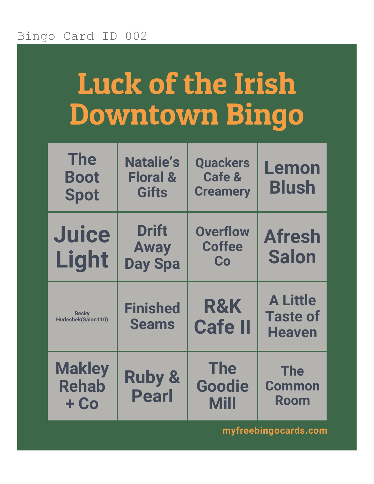## Luck of the Irish Downtown Bingo

| <b>The</b><br><b>Boot</b><br><b>Spot</b> | <b>Natalie's</b><br><b>Floral &amp;</b><br><b>Gifts</b> | <b>Quackers</b><br><b>Cafe &amp;</b><br><b>Creamery</b> | Lemon<br><b>Blush</b>                               |
|------------------------------------------|---------------------------------------------------------|---------------------------------------------------------|-----------------------------------------------------|
| <b>Juice</b><br>Light                    | <b>Drift</b><br><b>Away</b><br><b>Day Spa</b>           | <b>Overflow</b><br><b>Coffee</b><br>Co                  | <b>Afresh</b><br><b>Salon</b>                       |
| <b>Becky</b><br>Hudechek(Salon110)       | <b>Finished</b><br><b>Seams</b>                         | <b>R&amp;K</b><br><b>Cafe II</b>                        | <b>A Little</b><br><b>Taste of</b><br><b>Heaven</b> |
| <b>Makley</b><br><b>Rehab</b><br>$+$ Co  | <b>Ruby &amp;</b><br><b>Pearl</b>                       | <b>The</b><br>Goodie<br><b>Mill</b>                     | <b>The</b><br><b>Common</b><br><b>Room</b>          |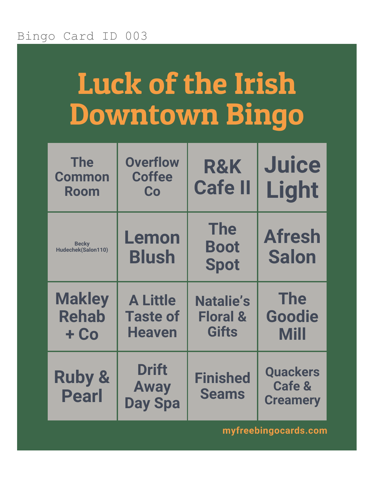# Luck of the Irish Downtown Bingo

| <b>The</b><br><b>Common</b><br>Room     | <b>Overflow</b><br><b>Coffee</b><br>Co              | <b>R&amp;K</b><br><b>Cafe II</b>                        | <b>Juice</b><br>Light                                   |
|-----------------------------------------|-----------------------------------------------------|---------------------------------------------------------|---------------------------------------------------------|
| <b>Becky</b><br>Hudechek(Salon110)      | Lemon<br><b>Blush</b>                               | <b>The</b><br><b>Boot</b><br><b>Spot</b>                | <b>Afresh</b><br><b>Salon</b>                           |
| <b>Makley</b><br><b>Rehab</b><br>$+$ Co | <b>A Little</b><br><b>Taste of</b><br><b>Heaven</b> | <b>Natalie's</b><br><b>Floral &amp;</b><br><b>Gifts</b> | <b>The</b><br>Goodie<br><b>Mill</b>                     |
| <b>Ruby &amp;</b><br><b>Pearl</b>       | <b>Drift</b><br><b>Away</b><br><b>Day Spa</b>       | <b>Finished</b><br><b>Seams</b>                         | <b>Quackers</b><br><b>Cafe &amp;</b><br><b>Creamery</b> |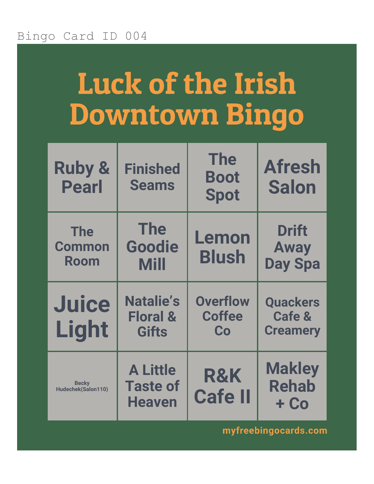### Luck of the Irish Downtown Bingo

| <b>Ruby &amp;</b><br><b>Pearl</b>  | <b>Finished</b><br><b>Seams</b>                         | <b>The</b><br><b>Boot</b><br><b>Spot</b> | <b>Afresh</b><br><b>Salon</b>                 |
|------------------------------------|---------------------------------------------------------|------------------------------------------|-----------------------------------------------|
| <b>The</b><br>Common<br>Room       | <b>The</b><br><b>Goodie</b><br><b>Mill</b>              | Lemon<br><b>Blush</b>                    | <b>Drift</b><br><b>Away</b><br><b>Day Spa</b> |
| <b>Juice</b><br>Light              | <b>Natalie's</b><br><b>Floral &amp;</b><br><b>Gifts</b> | <b>Overflow</b><br><b>Coffee</b><br>Co   | <b>Quackers</b><br>Cafe &<br><b>Creamery</b>  |
| <b>Becky</b><br>Hudechek(Salon110) | <b>A Little</b><br><b>Taste of</b><br><b>Heaven</b>     | <b>R&amp;K</b><br><b>Cafe II</b>         | <b>Makley</b><br><b>Rehab</b><br>$+$ Co       |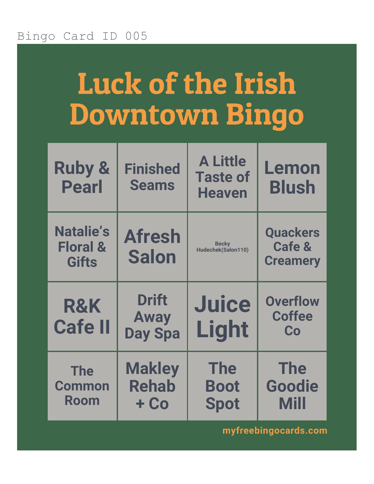# Luck of the Irish Downtown Bingo

| <b>Ruby &amp;</b><br><b>Pearl</b>                       | <b>Finished</b><br><b>Seams</b>               | <b>A Little</b><br><b>Taste of</b><br><b>Heaven</b> | Lemon<br><b>Blush</b>                                   |
|---------------------------------------------------------|-----------------------------------------------|-----------------------------------------------------|---------------------------------------------------------|
| <b>Natalie's</b><br><b>Floral &amp;</b><br><b>Gifts</b> | <b>Afresh</b><br><b>Salon</b>                 | <b>Becky</b><br>Hudechek(Salon110)                  | <b>Quackers</b><br><b>Cafe &amp;</b><br><b>Creamery</b> |
| <b>R&amp;K</b><br><b>Cafe II</b>                        | <b>Drift</b><br><b>Away</b><br><b>Day Spa</b> | <b>Juice</b><br>Light                               | <b>Overflow</b><br><b>Coffee</b><br>Co                  |
| <b>The</b><br><b>Common</b><br>Room                     | <b>Makley</b><br><b>Rehab</b>                 | <b>The</b><br><b>Boot</b>                           | <b>The</b><br>Goodie                                    |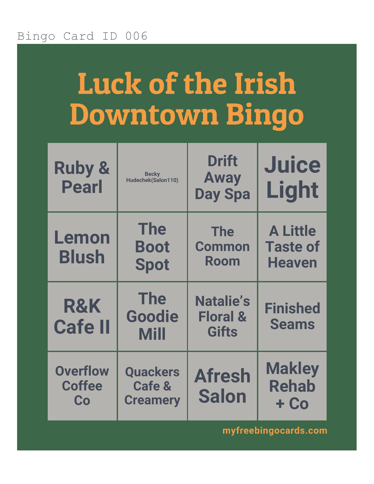# Luck of the Irish Downtown Bingo

| <b>Ruby &amp;</b><br><b>Pearl</b>      | <b>Becky</b><br>Hudechek(Salon110)                      | <b>Drift</b><br><b>Away</b><br><b>Day Spa</b>           | <b>Juice</b><br>Light                               |
|----------------------------------------|---------------------------------------------------------|---------------------------------------------------------|-----------------------------------------------------|
| Lemon<br><b>Blush</b>                  | <b>The</b><br><b>Boot</b><br><b>Spot</b>                | <b>The</b><br><b>Common</b><br><b>Room</b>              | <b>A Little</b><br><b>Taste of</b><br><b>Heaven</b> |
| <b>R&amp;K</b><br><b>Cafe II</b>       | <b>The</b><br><b>Goodie</b><br><b>Mill</b>              | <b>Natalie's</b><br><b>Floral &amp;</b><br><b>Gifts</b> | <b>Finished</b><br><b>Seams</b>                     |
| <b>Overflow</b><br><b>Coffee</b><br>Co | <b>Quackers</b><br><b>Cafe &amp;</b><br><b>Creamery</b> | <b>Afresh</b><br><b>Salon</b>                           | <b>Makley</b><br><b>Rehab</b><br>$+$ Co             |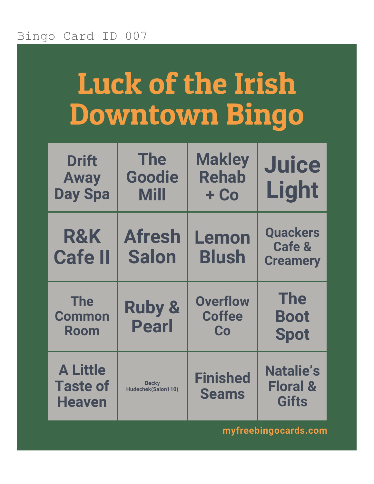# Luck of the Irish Downtown Bingo

| <b>Drift</b><br><b>Away</b><br><b>Day Spa</b>       | <b>The</b><br>Goodie<br><b>Mill</b> | <b>Makley</b><br><b>Rehab</b><br>$+$ Co | <b>Juice</b><br>Light                                   |
|-----------------------------------------------------|-------------------------------------|-----------------------------------------|---------------------------------------------------------|
| <b>R&amp;K</b><br><b>Cafe II</b>                    | <b>Afresh</b><br><b>Salon</b>       | Lemon<br><b>Blush</b>                   | <b>Quackers</b><br><b>Cafe &amp;</b><br><b>Creamery</b> |
| <b>The</b><br><b>Common</b><br>Room                 | <b>Ruby &amp;</b><br><b>Pearl</b>   | <b>Overflow</b><br><b>Coffee</b><br>Co  | <b>The</b><br><b>Boot</b><br><b>Spot</b>                |
| <b>A Little</b><br><b>Taste of</b><br><b>Heaven</b> | <b>Becky</b><br>Hudechek(Salon110)  | <b>Finished</b><br><b>Seams</b>         | <b>Natalie's</b><br><b>Floral &amp;</b><br><b>Gifts</b> |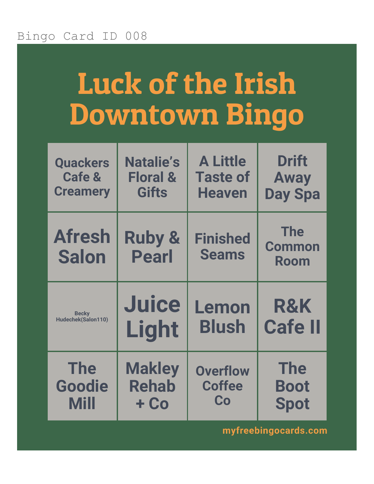# Luck of the Irish Downtown Bingo

| <b>Quackers</b>               | <b>Natalie's</b>                  | <b>A Little</b>                 | <b>Drift</b>                        |
|-------------------------------|-----------------------------------|---------------------------------|-------------------------------------|
| <b>Cafe &amp;</b>             | <b>Floral &amp;</b>               | <b>Taste of</b>                 | <b>Away</b>                         |
| <b>Creamery</b>               | <b>Gifts</b>                      | <b>Heaven</b>                   | <b>Day Spa</b>                      |
| <b>Afresh</b><br><b>Salon</b> | <b>Ruby &amp;</b><br><b>Pearl</b> | <b>Finished</b><br><b>Seams</b> | <b>The</b><br><b>Common</b><br>Room |
|                               |                                   |                                 |                                     |
| <b>Becky</b>                  | <b>Juice</b>                      | Lemon                           | <b>R&amp;K</b>                      |
| Hudechek(Salon110)            | Light                             | <b>Blush</b>                    | <b>Cafe II</b>                      |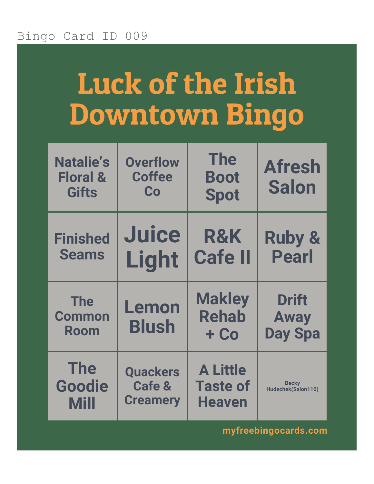## Luck of the Irish Downtown Bingo

| <b>Natalie's</b><br><b>Floral &amp;</b><br><b>Gifts</b> | <b>Overflow</b><br><b>Coffee</b><br>Co                  | <b>The</b><br><b>Boot</b><br><b>Spot</b>            | <b>Afresh</b><br><b>Salon</b>                 |
|---------------------------------------------------------|---------------------------------------------------------|-----------------------------------------------------|-----------------------------------------------|
| <b>Finished</b><br><b>Seams</b>                         | <b>Juice</b><br>Light                                   | <b>R&amp;K</b><br><b>Cafe II</b>                    | <b>Ruby &amp;</b><br><b>Pearl</b>             |
| <b>The</b><br><b>Common</b><br>Room                     | Lemon<br><b>Blush</b>                                   | <b>Makley</b><br><b>Rehab</b><br>$+$ Co             | <b>Drift</b><br><b>Away</b><br><b>Day Spa</b> |
| <b>The</b><br><b>Goodie</b><br><b>Mill</b>              | <b>Quackers</b><br><b>Cafe &amp;</b><br><b>Creamery</b> | <b>A Little</b><br><b>Taste of</b><br><b>Heaven</b> | <b>Becky</b><br>Hudechek(Salon110)            |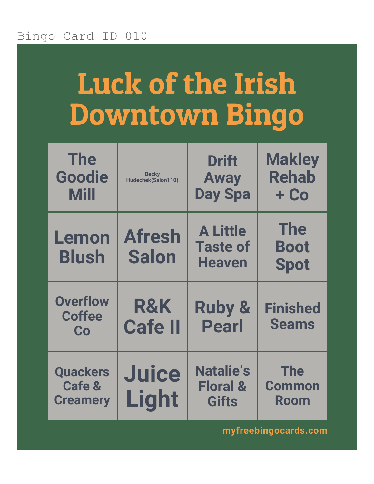# Luck of the Irish Downtown Bingo

| <b>The</b><br>Goodie<br><b>Mill</b>                     | <b>Becky</b><br>Hudechek(Salon110) | <b>Drift</b><br><b>Away</b><br><b>Day Spa</b>           | <b>Makley</b><br><b>Rehab</b><br>$+$ Co    |
|---------------------------------------------------------|------------------------------------|---------------------------------------------------------|--------------------------------------------|
| Lemon<br><b>Blush</b>                                   | <b>Afresh</b><br><b>Salon</b>      | <b>A Little</b><br><b>Taste of</b><br><b>Heaven</b>     | <b>The</b><br><b>Boot</b><br><b>Spot</b>   |
| <b>Overflow</b><br><b>Coffee</b><br>Co                  | R&K<br><b>Cafe II</b>              | <b>Ruby &amp;</b><br><b>Pearl</b>                       | <b>Finished</b><br><b>Seams</b>            |
| <b>Quackers</b><br><b>Cafe &amp;</b><br><b>Creamery</b> | <b>Juice</b><br>Light              | <b>Natalie's</b><br><b>Floral &amp;</b><br><b>Gifts</b> | <b>The</b><br><b>Common</b><br><b>Room</b> |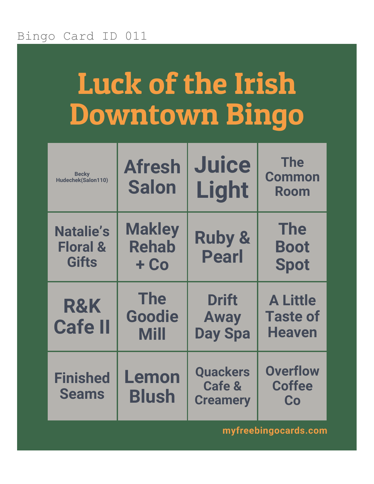# Luck of the Irish Downtown Bingo

| <b>Becky</b><br>Hudechek(Salon110)                      | <b>Afresh</b><br><b>Salon</b>              | <b>Juice</b><br>Light                                   | <b>The</b><br><b>Common</b><br><b>Room</b>          |
|---------------------------------------------------------|--------------------------------------------|---------------------------------------------------------|-----------------------------------------------------|
| <b>Natalie's</b><br><b>Floral &amp;</b><br><b>Gifts</b> | <b>Makley</b><br><b>Rehab</b><br>$+$ Co    | <b>Ruby &amp;</b><br><b>Pearl</b>                       | <b>The</b><br><b>Boot</b><br><b>Spot</b>            |
| R&K<br><b>Cafe II</b>                                   | <b>The</b><br><b>Goodie</b><br><b>Mill</b> | <b>Drift</b><br><b>Away</b><br><b>Day Spa</b>           | <b>A Little</b><br><b>Taste of</b><br><b>Heaven</b> |
| <b>Finished</b><br><b>Seams</b>                         | Lemon<br><b>Blush</b>                      | <b>Quackers</b><br><b>Cafe &amp;</b><br><b>Creamery</b> | <b>Overflow</b><br><b>Coffee</b><br>Co              |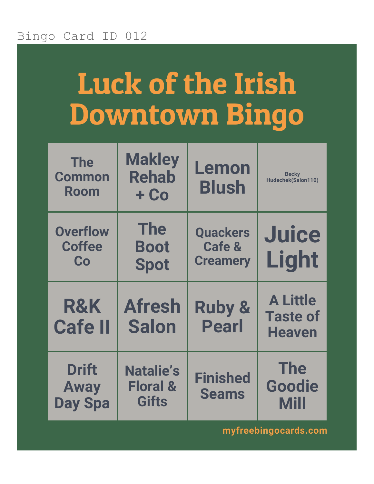## Luck of the Irish Downtown Bingo

| <b>The</b><br><b>Common</b><br>Room    | <b>Makley</b><br><b>Rehab</b><br>$+$ Co  | Lemon<br><b>Blush</b>                                   | <b>Becky</b><br>Hudechek(Salon110)                  |
|----------------------------------------|------------------------------------------|---------------------------------------------------------|-----------------------------------------------------|
| <b>Overflow</b><br><b>Coffee</b><br>Co | <b>The</b><br><b>Boot</b><br><b>Spot</b> | <b>Quackers</b><br><b>Cafe &amp;</b><br><b>Creamery</b> | <b>Juice</b><br>Light                               |
|                                        |                                          |                                                         |                                                     |
| <b>R&amp;K</b><br><b>Cafe II</b>       | <b>Afresh</b><br><b>Salon</b>            | <b>Ruby &amp;</b><br><b>Pearl</b>                       | <b>A Little</b><br><b>Taste of</b><br><b>Heaven</b> |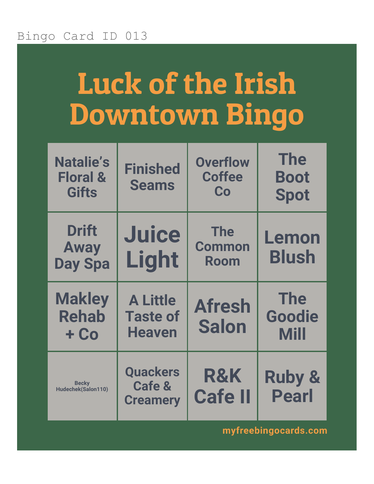# Luck of the Irish Downtown Bingo

| <b>Natalie's</b><br><b>Floral &amp;</b><br><b>Gifts</b> | <b>Finished</b><br><b>Seams</b>                         | <b>Overflow</b><br><b>Coffee</b><br>Co | <b>The</b><br><b>Boot</b><br><b>Spot</b>   |
|---------------------------------------------------------|---------------------------------------------------------|----------------------------------------|--------------------------------------------|
| <b>Drift</b><br><b>Away</b><br><b>Day Spa</b>           | <b>Juice</b><br>Light                                   | <b>The</b><br><b>Common</b><br>Room    | Lemon<br><b>Blush</b>                      |
| <b>Makley</b><br><b>Rehab</b><br>$+$ Co                 | <b>A Little</b><br><b>Taste of</b><br><b>Heaven</b>     | <b>Afresh</b><br><b>Salon</b>          | <b>The</b><br><b>Goodie</b><br><b>Mill</b> |
| <b>Becky</b><br>Hudechek(Salon110)                      | <b>Quackers</b><br><b>Cafe &amp;</b><br><b>Creamery</b> | <b>R&amp;K</b><br><b>Cafe II</b>       | <b>Ruby &amp;</b><br><b>Pearl</b>          |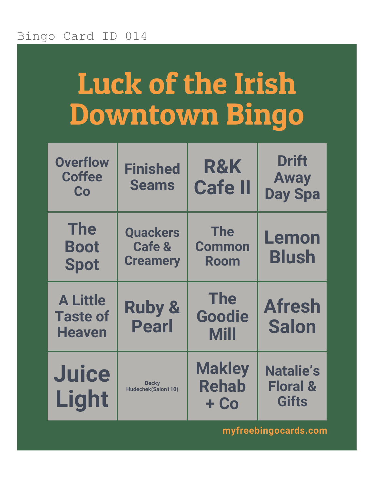# Luck of the Irish Downtown Bingo

| <b>Overflow</b><br><b>Coffee</b><br>Co              | <b>Finished</b><br><b>Seams</b>                         | <b>R&amp;K</b><br><b>Cafe II</b>           | <b>Drift</b><br><b>Away</b><br><b>Day Spa</b> |
|-----------------------------------------------------|---------------------------------------------------------|--------------------------------------------|-----------------------------------------------|
| <b>The</b><br><b>Boot</b><br><b>Spot</b>            | <b>Quackers</b><br><b>Cafe &amp;</b><br><b>Creamery</b> | <b>The</b><br><b>Common</b><br><b>Room</b> | Lemon<br><b>Blush</b>                         |
| <b>A Little</b><br><b>Taste of</b><br><b>Heaven</b> | <b>Ruby &amp;</b><br><b>Pearl</b>                       | <b>The</b><br>Goodie<br><b>Mill</b>        | <b>Afresh</b><br><b>Salon</b>                 |
| <b>Juice</b><br>Light                               | <b>Becky</b><br>Hudechek(Salon110)                      | <b>Makley</b><br><b>Rehab</b>              | <b>Natalie's</b><br><b>Floral &amp;</b>       |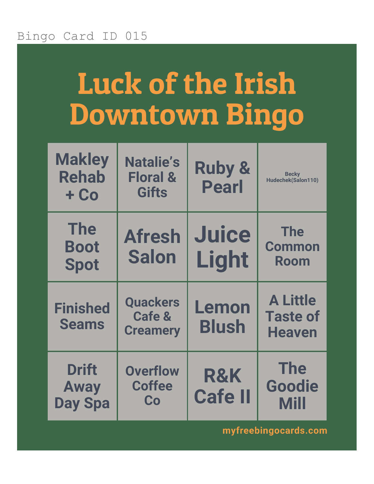# Luck of the Irish Downtown Bingo

| <b>Makley</b><br><b>Rehab</b><br>$+$ Co       | <b>Natalie's</b><br><b>Floral &amp;</b><br><b>Gifts</b> | <b>Ruby &amp;</b><br><b>Pearl</b> | <b>Becky</b><br>Hudechek(Salon110)                  |
|-----------------------------------------------|---------------------------------------------------------|-----------------------------------|-----------------------------------------------------|
| <b>The</b><br><b>Boot</b><br><b>Spot</b>      | <b>Afresh</b><br><b>Salon</b>                           | <b>Juice</b><br>Light             | <b>The</b><br><b>Common</b><br><b>Room</b>          |
| <b>Finished</b><br><b>Seams</b>               | <b>Quackers</b><br><b>Cafe &amp;</b><br><b>Creamery</b> | Lemon<br><b>Blush</b>             | <b>A Little</b><br><b>Taste of</b><br><b>Heaven</b> |
| <b>Drift</b><br><b>Away</b><br><b>Day Spa</b> | <b>Overflow</b><br><b>Coffee</b><br>Co                  | <b>R&amp;K</b><br><b>Cafe II</b>  | <b>The</b><br><b>Goodie</b><br><b>Mill</b>          |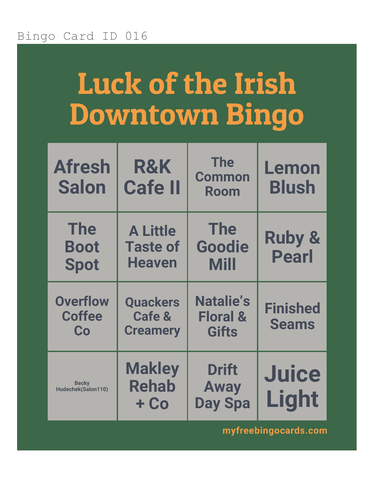# Luck of the Irish Downtown Bingo

| <b>Afresh</b><br><b>Salon</b>            | R&K<br><b>Cafe II</b>                               | <b>The</b><br><b>Common</b><br><b>Room</b>              | Lemon<br><b>Blush</b>             |
|------------------------------------------|-----------------------------------------------------|---------------------------------------------------------|-----------------------------------|
| <b>The</b><br><b>Boot</b><br><b>Spot</b> | <b>A Little</b><br><b>Taste of</b><br><b>Heaven</b> | <b>The</b><br>Goodie<br><b>Mill</b>                     | <b>Ruby &amp;</b><br><b>Pearl</b> |
| <b>Overflow</b><br><b>Coffee</b><br>Co   | <b>Quackers</b><br>Cafe &<br><b>Creamery</b>        | <b>Natalie's</b><br><b>Floral &amp;</b><br><b>Gifts</b> | <b>Finished</b><br><b>Seams</b>   |
| <b>Becky</b><br>Hudechek(Salon110)       | <b>Makley</b><br><b>Rehab</b><br>+ Co               | <b>Drift</b><br><b>Away</b><br><b>Day Spa</b>           | <b>Juice</b><br>Light             |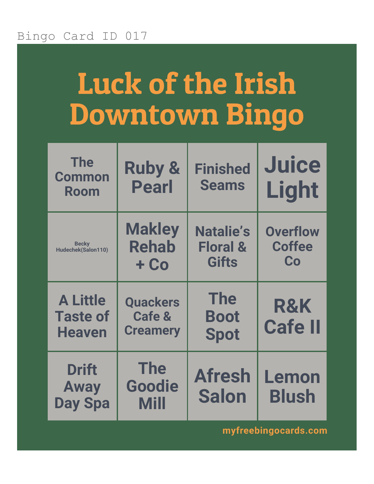# Luck of the Irish Downtown Bingo

| <b>The</b><br><b>Common</b><br>Room                 | <b>Ruby &amp;</b><br><b>Pearl</b>                       | <b>Finished</b><br><b>Seams</b>                         | <b>Juice</b><br>Light                  |
|-----------------------------------------------------|---------------------------------------------------------|---------------------------------------------------------|----------------------------------------|
| <b>Becky</b><br>Hudechek(Salon110)                  | <b>Makley</b><br><b>Rehab</b><br>$+$ Co                 | <b>Natalie's</b><br><b>Floral &amp;</b><br><b>Gifts</b> | <b>Overflow</b><br><b>Coffee</b><br>Co |
| <b>A Little</b><br><b>Taste of</b><br><b>Heaven</b> | <b>Quackers</b><br><b>Cafe &amp;</b><br><b>Creamery</b> | <b>The</b><br><b>Boot</b><br><b>Spot</b>                | <b>R&amp;K</b><br><b>Cafe II</b>       |
| <b>Drift</b><br><b>Away</b><br><b>Day Spa</b>       | <b>The</b><br>Goodie<br><b>Mill</b>                     | <b>Afresh</b><br><b>Salon</b>                           | Lemon<br><b>Blush</b>                  |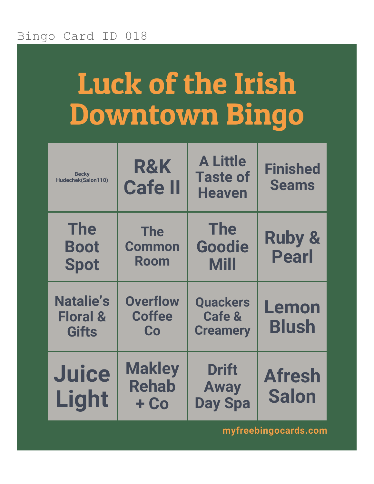### Luck of the Irish Downtown Bingo

| <b>Becky</b><br>Hudechek(Salon110)                      | <b>R&amp;K</b><br><b>Cafe II</b>           | <b>A Little</b><br><b>Taste of</b><br><b>Heaven</b>     | <b>Finished</b><br><b>Seams</b>   |
|---------------------------------------------------------|--------------------------------------------|---------------------------------------------------------|-----------------------------------|
| <b>The</b><br><b>Boot</b><br><b>Spot</b>                | <b>The</b><br><b>Common</b><br><b>Room</b> | <b>The</b><br>Goodie<br><b>Mill</b>                     | <b>Ruby &amp;</b><br><b>Pearl</b> |
| <b>Natalie's</b><br><b>Floral &amp;</b><br><b>Gifts</b> | <b>Overflow</b><br><b>Coffee</b><br>Co     | <b>Quackers</b><br><b>Cafe &amp;</b><br><b>Creamery</b> | Lemon<br><b>Blush</b>             |
| <b>Juice</b><br>Light                                   | <b>Makley</b><br><b>Rehab</b><br>+ Co      | <b>Drift</b><br><b>Away</b><br><b>Day Spa</b>           | <b>Afresh</b><br><b>Salon</b>     |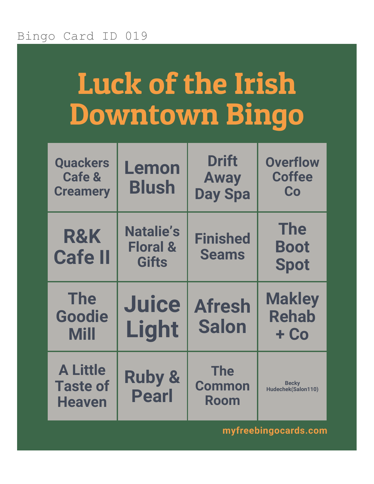## Luck of the Irish Downtown Bingo

| <b>Quackers</b><br><b>Cafe &amp;</b><br><b>Creamery</b> | Lemon<br><b>Blush</b>                                   | <b>Drift</b><br><b>Away</b><br><b>Day Spa</b> | <b>Overflow</b><br><b>Coffee</b><br>Co   |
|---------------------------------------------------------|---------------------------------------------------------|-----------------------------------------------|------------------------------------------|
| <b>R&amp;K</b><br><b>Cafe II</b>                        | <b>Natalie's</b><br><b>Floral &amp;</b><br><b>Gifts</b> | <b>Finished</b><br><b>Seams</b>               | <b>The</b><br><b>Boot</b><br><b>Spot</b> |
|                                                         |                                                         |                                               |                                          |
| <b>The</b><br>Goodie<br>Mill                            | <b>Juice</b><br>Light                                   | <b>Afresh</b><br><b>Salon</b>                 | <b>Makley</b><br><b>Rehab</b><br>$+$ Co  |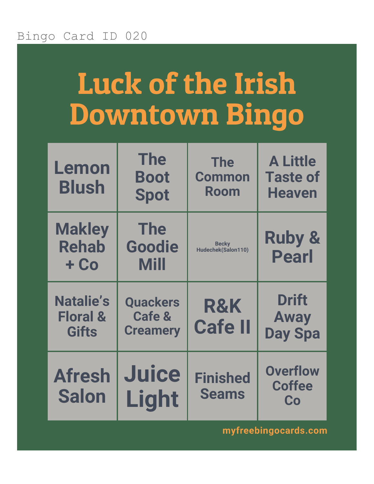## Luck of the Irish Downtown Bingo

| Lemon<br><b>Blush</b>                                   | <b>The</b><br><b>Boot</b><br><b>Spot</b>                | <b>The</b><br><b>Common</b><br>Room | <b>A Little</b><br><b>Taste of</b><br><b>Heaven</b> |
|---------------------------------------------------------|---------------------------------------------------------|-------------------------------------|-----------------------------------------------------|
| <b>Makley</b><br><b>Rehab</b><br>$+$ Co                 | <b>The</b><br>Goodie<br><b>Mill</b>                     | <b>Becky</b><br>Hudechek(Salon110)  | <b>Ruby &amp;</b><br><b>Pearl</b>                   |
|                                                         |                                                         |                                     |                                                     |
| <b>Natalie's</b><br><b>Floral &amp;</b><br><b>Gifts</b> | <b>Quackers</b><br><b>Cafe &amp;</b><br><b>Creamery</b> | <b>R&amp;K</b><br><b>Cafe II</b>    | <b>Drift</b><br><b>Away</b><br><b>Day Spa</b>       |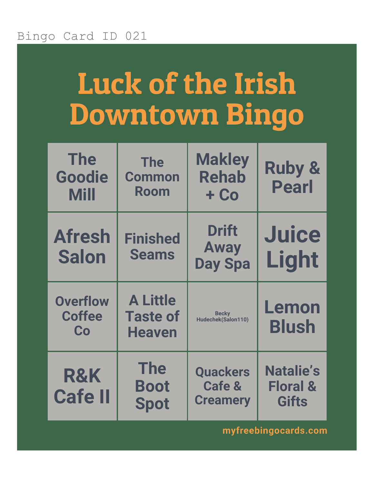## Luck of the Irish Downtown Bingo

| <b>The</b><br>Goodie<br><b>Mill</b>    | <b>The</b><br><b>Common</b><br><b>Room</b>          | <b>Makley</b><br><b>Rehab</b><br>$+$ Co                 | <b>Ruby &amp;</b><br><b>Pearl</b>                       |
|----------------------------------------|-----------------------------------------------------|---------------------------------------------------------|---------------------------------------------------------|
| <b>Afresh</b><br><b>Salon</b>          | <b>Finished</b><br><b>Seams</b>                     | <b>Drift</b><br><b>Away</b><br><b>Day Spa</b>           | <b>Juice</b><br>Light                                   |
| <b>Overflow</b><br><b>Coffee</b><br>Co | <b>A Little</b><br><b>Taste of</b><br><b>Heaven</b> | <b>Becky</b><br>Hudechek(Salon110)                      | Lemon<br><b>Blush</b>                                   |
| R&K<br><b>Cafe II</b>                  | <b>The</b><br><b>Boot</b><br><b>Spot</b>            | <b>Quackers</b><br><b>Cafe &amp;</b><br><b>Creamery</b> | <b>Natalie's</b><br><b>Floral &amp;</b><br><b>Gifts</b> |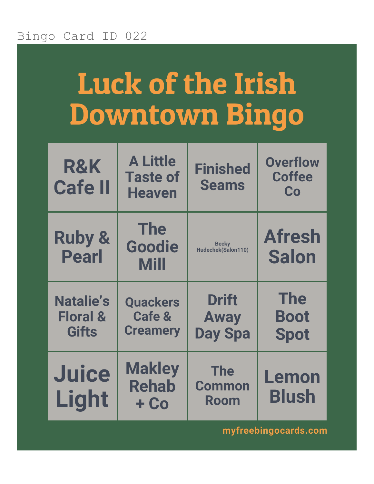## Luck of the Irish Downtown Bingo

| <b>R&amp;K</b><br><b>Cafe II</b>                        | <b>A Little</b><br><b>Taste of</b><br><b>Heaven</b>     | <b>Finished</b><br><b>Seams</b>               | <b>Overflow</b><br><b>Coffee</b><br>Co   |
|---------------------------------------------------------|---------------------------------------------------------|-----------------------------------------------|------------------------------------------|
| <b>Ruby &amp;</b><br><b>Pearl</b>                       | <b>The</b><br>Goodie<br><b>Mill</b>                     | <b>Becky</b><br>Hudechek(Salon110)            | <b>Afresh</b><br><b>Salon</b>            |
| <b>Natalie's</b><br><b>Floral &amp;</b><br><b>Gifts</b> | <b>Quackers</b><br><b>Cafe &amp;</b><br><b>Creamery</b> | <b>Drift</b><br><b>Away</b><br><b>Day Spa</b> | <b>The</b><br><b>Boot</b><br><b>Spot</b> |
| <b>Juice</b><br>Light                                   | <b>Makley</b><br><b>Rehab</b><br>+ Co                   | <b>The</b><br><b>Common</b><br><b>Room</b>    | Lemon<br><b>Blush</b>                    |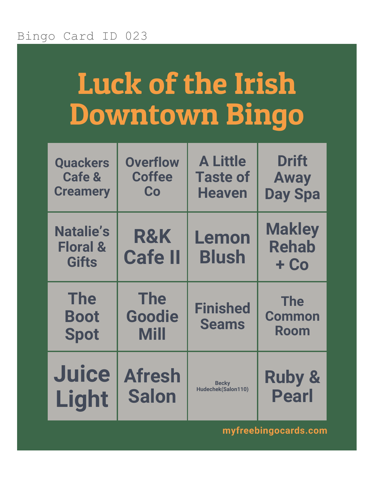# Luck of the Irish Downtown Bingo

| <b>Quackers</b>                                         | <b>Overflow</b>                     | <b>A Little</b>                 | <b>Drift</b>                            |
|---------------------------------------------------------|-------------------------------------|---------------------------------|-----------------------------------------|
| <b>Cafe &amp;</b>                                       | <b>Coffee</b>                       | <b>Taste of</b>                 | <b>Away</b>                             |
| <b>Creamery</b>                                         | Co                                  | <b>Heaven</b>                   | <b>Day Spa</b>                          |
| <b>Natalie's</b><br><b>Floral &amp;</b><br><b>Gifts</b> | <b>R&amp;K</b><br><b>Cafe II</b>    | Lemon<br><b>Blush</b>           | <b>Makley</b><br><b>Rehab</b><br>$+$ Co |
| <b>The</b><br><b>Boot</b><br><b>Spot</b>                | <b>The</b><br>Goodie<br><b>Mill</b> | <b>Finished</b><br><b>Seams</b> | <b>The</b><br><b>Common</b><br>Room     |
| <b>Juice</b>                                            | <b>Afresh</b>                       | <b>Becky</b>                    | <b>Ruby &amp;</b>                       |
| Light                                                   | <b>Salon</b>                        | Hudechek(Salon110)              | <b>Pearl</b>                            |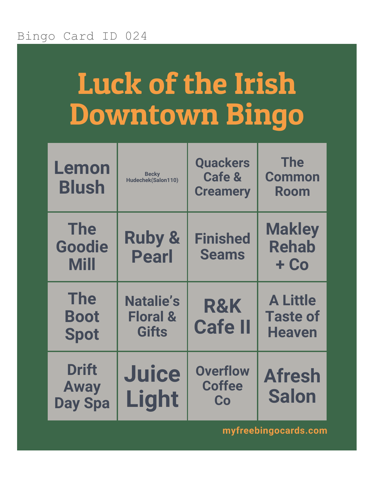# Luck of the Irish Downtown Bingo

| Lemon<br><b>Blush</b>                         | <b>Becky</b><br>Hudechek(Salon110)                      | <b>Quackers</b><br><b>Cafe &amp;</b><br><b>Creamery</b> | <b>The</b><br><b>Common</b><br><b>Room</b>          |
|-----------------------------------------------|---------------------------------------------------------|---------------------------------------------------------|-----------------------------------------------------|
| <b>The</b><br><b>Goodie</b><br><b>Mill</b>    | <b>Ruby &amp;</b><br><b>Pearl</b>                       | <b>Finished</b><br><b>Seams</b>                         | <b>Makley</b><br><b>Rehab</b><br>$+$ Co             |
| <b>The</b><br><b>Boot</b><br><b>Spot</b>      | <b>Natalie's</b><br><b>Floral &amp;</b><br><b>Gifts</b> | <b>R&amp;K</b><br><b>Cafe II</b>                        | <b>A Little</b><br><b>Taste of</b><br><b>Heaven</b> |
| <b>Drift</b><br><b>Away</b><br><b>Day Spa</b> | <b>Juice</b><br><b>Light</b>                            | <b>Overflow</b><br><b>Coffee</b><br>Co                  | <b>Afresh</b><br><b>Salon</b>                       |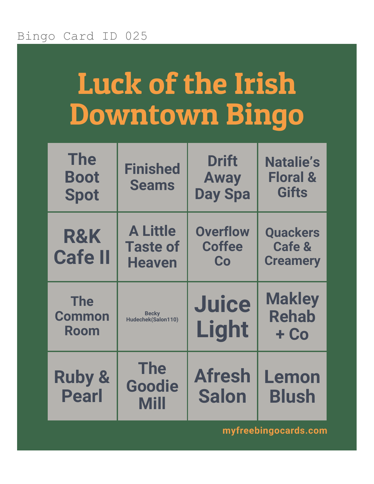## Luck of the Irish Downtown Bingo

| <b>The</b><br><b>Boot</b><br><b>Spot</b> | <b>Finished</b><br><b>Seams</b>                     | <b>Drift</b><br><b>Away</b><br><b>Day Spa</b> | <b>Natalie's</b><br><b>Floral &amp;</b><br><b>Gifts</b> |
|------------------------------------------|-----------------------------------------------------|-----------------------------------------------|---------------------------------------------------------|
| R&K<br><b>Cafe II</b>                    | <b>A Little</b><br><b>Taste of</b><br><b>Heaven</b> | <b>Overflow</b><br><b>Coffee</b><br>Co        | <b>Quackers</b><br><b>Cafe &amp;</b><br><b>Creamery</b> |
| <b>The</b><br><b>Common</b><br>Room      | <b>Becky</b><br>Hudechek(Salon110)                  | <b>Juice</b><br>Light                         | <b>Makley</b><br><b>Rehab</b><br>$+$ Co                 |
| <b>Ruby &amp;</b><br><b>Pearl</b>        | <b>The</b><br><b>Goodie</b><br><b>Mill</b>          | <b>Afresh</b><br><b>Salon</b>                 | Lemon<br><b>Blush</b>                                   |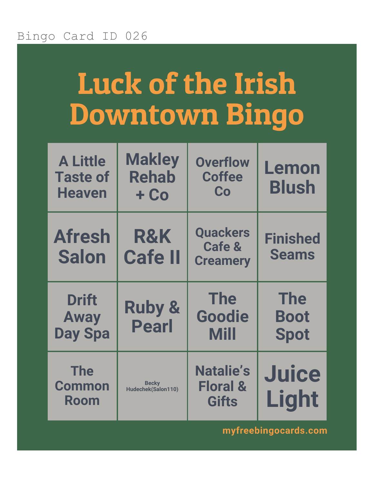# Luck of the Irish Downtown Bingo

| <b>A Little</b><br><b>Taste of</b><br><b>Heaven</b> | <b>Makley</b><br><b>Rehab</b><br>$+$ Co | <b>Overflow</b><br><b>Coffee</b><br>Co                  | Lemon<br><b>Blush</b>                    |
|-----------------------------------------------------|-----------------------------------------|---------------------------------------------------------|------------------------------------------|
| <b>Afresh</b><br><b>Salon</b>                       | <b>R&amp;K</b><br><b>Cafe II</b>        | <b>Quackers</b><br><b>Cafe &amp;</b><br><b>Creamery</b> | <b>Finished</b><br><b>Seams</b>          |
| <b>Drift</b><br><b>Away</b><br><b>Day Spa</b>       | <b>Ruby &amp;</b><br><b>Pearl</b>       | <b>The</b><br><b>Goodie</b><br><b>Mill</b>              | <b>The</b><br><b>Boot</b><br><b>Spot</b> |
| <b>The</b><br><b>Common</b><br>Room                 | <b>Becky</b><br>Hudechek(Salon110)      | <b>Natalie's</b><br><b>Floral &amp;</b><br><b>Gifts</b> | <b>Juice</b><br>Light                    |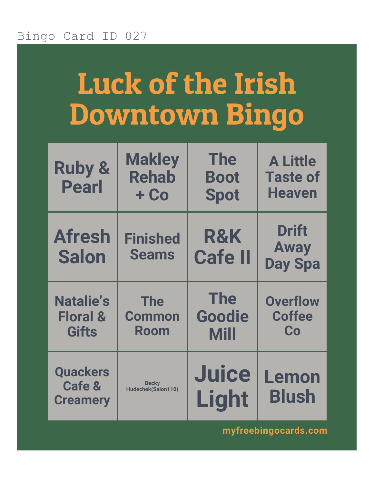# Luck of the Irish Downtown Bingo

| <b>Ruby &amp;</b><br><b>Pearl</b>                       | <b>Makley</b><br><b>Rehab</b><br>$+$ Co    | <b>The</b><br><b>Boot</b><br><b>Spot</b> | <b>A Little</b><br><b>Taste of</b><br><b>Heaven</b> |
|---------------------------------------------------------|--------------------------------------------|------------------------------------------|-----------------------------------------------------|
| <b>Afresh</b><br><b>Salon</b>                           | <b>Finished</b><br><b>Seams</b>            | <b>R&amp;K</b><br><b>Cafe II</b>         | <b>Drift</b><br><b>Away</b><br><b>Day Spa</b>       |
| <b>Natalie's</b><br><b>Floral &amp;</b><br><b>Gifts</b> | <b>The</b><br><b>Common</b><br><b>Room</b> | <b>The</b><br>Goodie<br><b>Mill</b>      | <b>Overflow</b><br><b>Coffee</b><br>Co              |
| <b>Quackers</b><br><b>Cafe &amp;</b><br><b>Creamery</b> | <b>Becky</b><br>Hudechek(Salon110)         | <b>Juice</b><br>Light                    | Lemon<br><b>Blush</b>                               |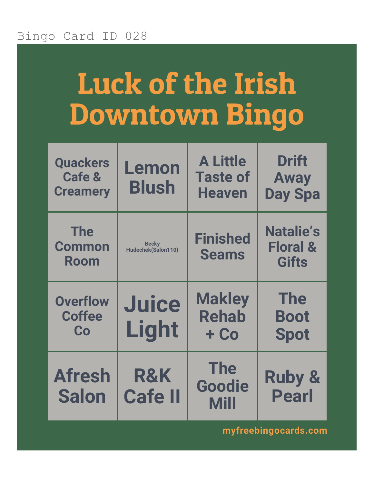## Luck of the Irish Downtown Bingo

| <b>Quackers</b><br><b>Cafe &amp;</b><br><b>Creamery</b> | Lemon<br><b>Blush</b>              | <b>A Little</b><br><b>Taste of</b><br><b>Heaven</b> | <b>Drift</b><br><b>Away</b><br><b>Day Spa</b>           |
|---------------------------------------------------------|------------------------------------|-----------------------------------------------------|---------------------------------------------------------|
| <b>The</b><br><b>Common</b><br>Room                     | <b>Becky</b><br>Hudechek(Salon110) | <b>Finished</b><br><b>Seams</b>                     | <b>Natalie's</b><br><b>Floral &amp;</b><br><b>Gifts</b> |
| <b>Overflow</b><br><b>Coffee</b>                        | <b>Juice</b>                       | <b>Makley</b><br><b>Rehab</b>                       | <b>The</b>                                              |
| Co                                                      | Light                              | $+$ Co                                              | <b>Boot</b><br><b>Spot</b>                              |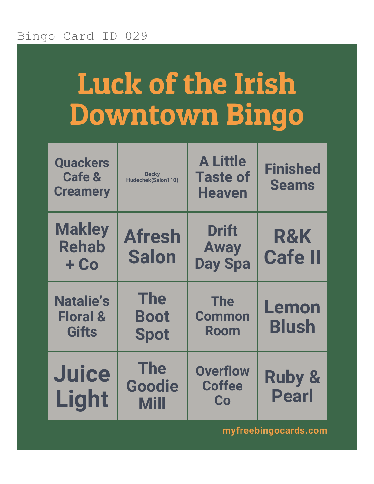# Luck of the Irish Downtown Bingo

| <b>Quackers</b><br><b>Cafe &amp;</b><br><b>Creamery</b> | <b>Becky</b><br>Hudechek(Salon110)       | <b>A Little</b><br><b>Taste of</b><br><b>Heaven</b> | <b>Finished</b><br><b>Seams</b>   |
|---------------------------------------------------------|------------------------------------------|-----------------------------------------------------|-----------------------------------|
| <b>Makley</b><br><b>Rehab</b><br>$+$ Co                 | <b>Afresh</b><br><b>Salon</b>            | <b>Drift</b><br><b>Away</b><br><b>Day Spa</b>       | <b>R&amp;K</b><br><b>Cafe II</b>  |
| <b>Natalie's</b><br><b>Floral &amp;</b><br><b>Gifts</b> | <b>The</b><br><b>Boot</b><br><b>Spot</b> | <b>The</b><br><b>Common</b><br><b>Room</b>          | Lemon<br><b>Blush</b>             |
| <b>Juice</b><br><b>Light</b>                            | <b>The</b><br>Goodie<br><b>Mill</b>      | <b>Overflow</b><br><b>Coffee</b><br>Co              | <b>Ruby &amp;</b><br><b>Pearl</b> |